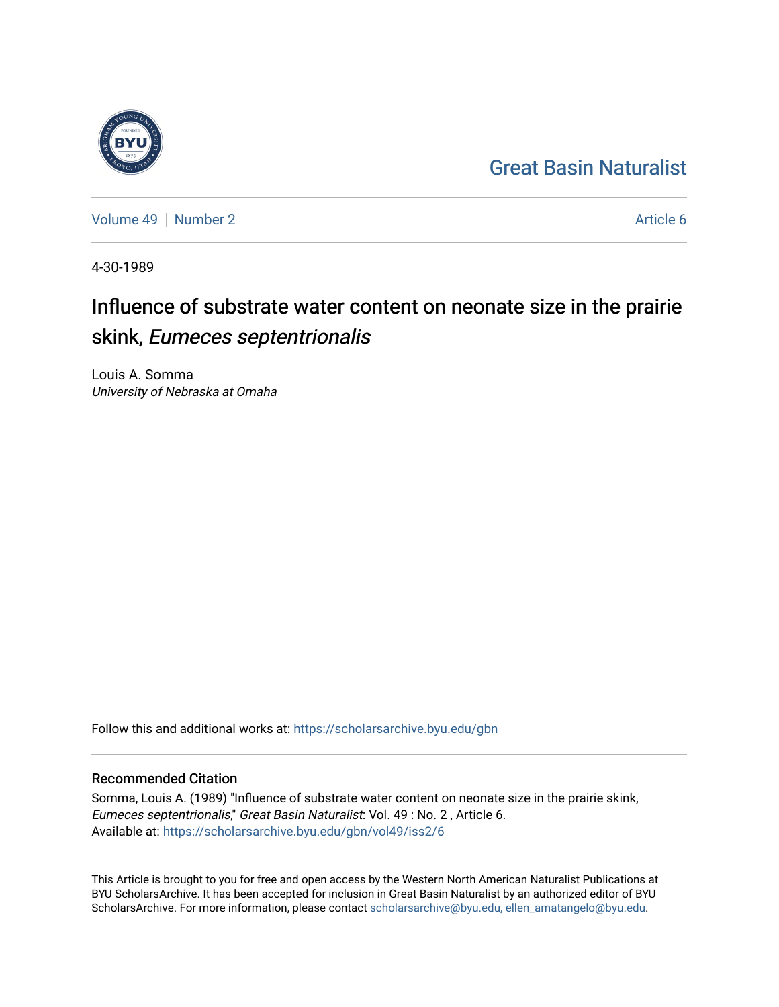## [Great Basin Naturalist](https://scholarsarchive.byu.edu/gbn)

[Volume 49](https://scholarsarchive.byu.edu/gbn/vol49) [Number 2](https://scholarsarchive.byu.edu/gbn/vol49/iss2) Article 6

4-30-1989

# Influence of substrate water content on neonate size in the prairie skink, Eumeces septentrionalis

Louis A. Somma University of Nebraska at Omaha

Follow this and additional works at: [https://scholarsarchive.byu.edu/gbn](https://scholarsarchive.byu.edu/gbn?utm_source=scholarsarchive.byu.edu%2Fgbn%2Fvol49%2Fiss2%2F6&utm_medium=PDF&utm_campaign=PDFCoverPages) 

## Recommended Citation

Somma, Louis A. (1989) "Influence of substrate water content on neonate size in the prairie skink, Eumeces septentrionalis," Great Basin Naturalist: Vol. 49 : No. 2 , Article 6. Available at: [https://scholarsarchive.byu.edu/gbn/vol49/iss2/6](https://scholarsarchive.byu.edu/gbn/vol49/iss2/6?utm_source=scholarsarchive.byu.edu%2Fgbn%2Fvol49%2Fiss2%2F6&utm_medium=PDF&utm_campaign=PDFCoverPages)

This Article is brought to you for free and open access by the Western North American Naturalist Publications at BYU ScholarsArchive. It has been accepted for inclusion in Great Basin Naturalist by an authorized editor of BYU ScholarsArchive. For more information, please contact [scholarsarchive@byu.edu, ellen\\_amatangelo@byu.edu.](mailto:scholarsarchive@byu.edu,%20ellen_amatangelo@byu.edu)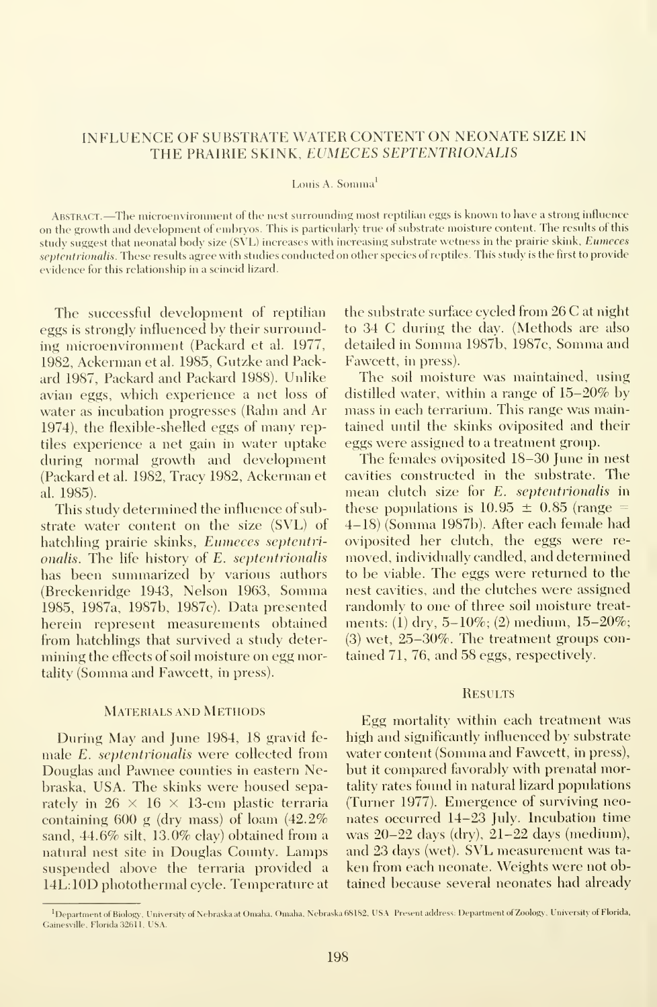### INFLUENCE OF SUBSTRATE WATER CONTENT ON NEONATE SIZE IN THE PRAIRIE SKINK, EUMECES SEPTENTRIONALIS

#### Louis A. Somma<sup>1</sup>

Abstract. —The microenvironment of the nest surrounding most reptilian eggs is known to have <sup>a</sup> strong influence on the growth and development of embryos. This is particularly true of substrate moisture content. The results of this study suggest that neonatal body size (SVL) increases with increasing substrate wetness in the prairie skink, Eumeces septentrionalis. These results agree with studies conducted on other species of reptiles. This study is the first to provide evidence for this relationship in a scincid lizard.

The successful development of reptilian eggs is strongly influenced by their surrounding microenvironment (Packard et al. 1977, 1982, Ackerman et al. 1985, Gutzke and Packard 1987, Packard and Packard 1988). Unlike avian eggs, which experience a net loss of water as incubation progresses (Rahn and Ar 1974), the flexible-shelled eggs of many reptiles experience a net gain in water uptake during normal growth and development (Packard et al. 1982, Tracy 1982, Ackerman et al. 1985).

This study determined the influence of substrate water content on the size (SVL) of hatchling prairie skinks, Eumeces septentrionalis. The life history of E. septentrionalis has been summarized by various authors (Breckenridge 1943, Nelson 1963, Somnia 1985, 1987a, 1987b, 1987c). Data presented herein represent measurements obtained from hatchlings that survived a study determining the effects of soil moisture on egg mortality (Somma and Fawcett, in press).

#### Materials and Methods

During May and June 1984, 18 gravid fe male E. septentrionalis were collected from Douglas and Pawnee counties in eastern Nebraska, USA. The skinks were housed separately in  $26 \times 16 \times 13$ -cm plastic terraria containing 600 g (dry mass) of loam  $(42.2\%$ sand, 44.6% silt, 13.0% clay) obtained from a natural nest site in Douglas County. Lamps suspended above the terraria provided a 14L:10D photothermal cycle. Temperature at

the substrate surface cycled from 26 C at night to 34 C during the day. (Methods are also detailed in Somma 1987b, 1987c, Somma and Fawcett, in press).

The soil moisture was maintained, using distilled water, within a range of 15-20% by mass in each terrarium. This range was maintained until the skinks oviposited and their eggs were assigned to a treatment group.

The females oviposited 18-30 June in nest cavities constructed in the substrate. The mean clutch size for E. septentrionalis in these populations is  $10.95 \pm 0.85$  (range = 4-18) (Somma 1987b). After each female had oviposited her clutch, the eggs were re moved, individually candled, and determined to be viable. The eggs were returned to the nest cavities, and the clutches were assigned randomlv to one of three soil moisture treat ments: (1) dry, 5-10%; (2) medium, 15-20%; (3) wet, 25-30%. The treatment groups contained 71, 76, and 58 eggs, respectively.

#### **RESULTS**

Egg mortality within each treatment was high and significantly influenced by substrate water content (Somma and Fawcett, in press), but it compared favorably with prenatal mortality rates found in natural lizard populations (Turner 1977). Emergence of surviving neonates occurred 14-23 July. Incubation time was 20-22 days (dry), 21-22 days (medium), and 23 days (wet). SVL measurement was ta ken from each neonate. Weights were not obtained because several neonates had already

<sup>&#</sup>x27;Department of Biology, University of Nebraska at Omaha, Omaha. Nebraska 68182, USA. Present address: Department of Zoology. University of Florida, Cainesville, Florida 32611, USA.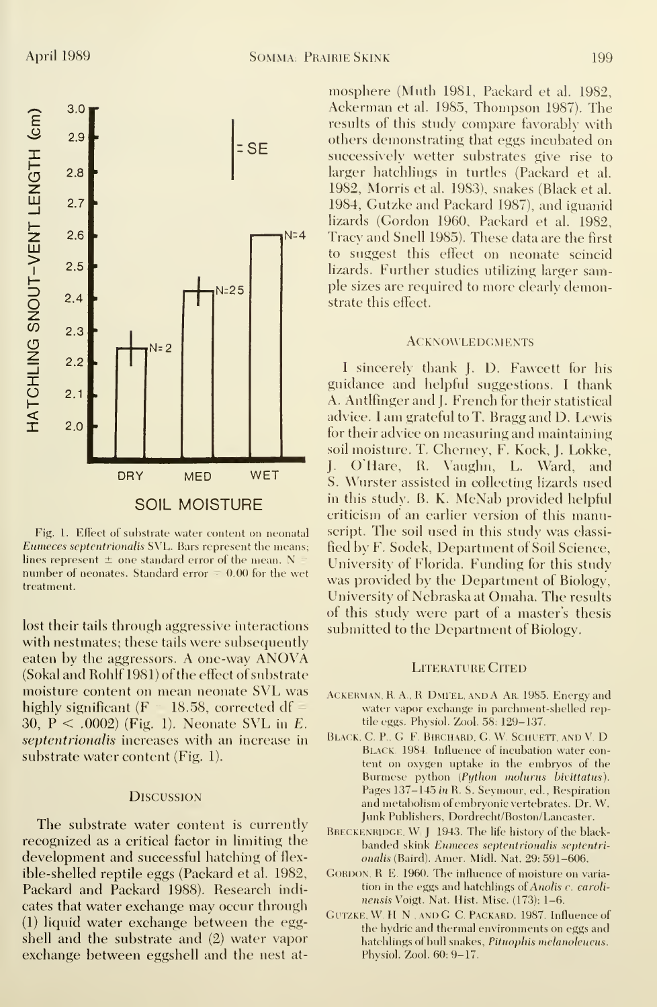

Fig. 1. Effect of substrate water content on neonatal Eumeces septentrionalis SVL. Bars represent the means; lines represent  $\pm$  one standard error of the mean. N number of neonates. Standard error  $= 0.00$  for the wet treatment.

lost their tails through aggressive interactions with nestmates; these tails were subsequently eaten by the aggressors. A one-way ANOVA (Sokal and Rohlf 1981) of the effect of substrate moisture content on mean neonate SVL was highly significant ( $F = 18.58$ , corrected df = 30,  $P < .0002$  (Fig. 1). Neonate SVL in E. septentrionalis increases with an increase in substrate water content (Fig. 1).

#### **DISCUSSION**

The substrate water content is currently recognized as a critical factor in limiting the development and successful hatching of flexible-shelled reptile eggs (Packard et al. 1982, Packard and Packard 1988). Research indicates that water exchange may occur through (1) liquid water exchange between the eggshell and the substrate and (2) water vapor exchange between eggshell and the nest at-

mosphere (Muth 1981, Packard et al. 1982, Ackerman et al. 1985, Thompson 1987). The results of this study compare favorably with others demonstrating that eggs incubated on successively wetter substrates give rise to larger hatchlings in turtles (Packard et al. 1982, Morris et al. 1983), snakes (Black et al. 1984, Gutzke and Packard 1987), and iguanid lizards (Gordon 1960, Packard et al. 1982, Tracy and Snell 1985). These data are the first to suggest this effect on neonate scincid lizards. Further studies utilizing larger sample sizes are required to more clearly demonstrate this effect.

#### **ACKNOWLEDGMENTS**

I sincerely thank J. D. Fawcett for his guidance and helpful suggestions. I thank A. Antlfinger and J. French for their statistical advice. I am grateful to T. Bragg and D. Lewis for their advice on measuring and maintaining soil moisture. T. Cherney, F. Kock, J. Lokke, O'Hare, R. Vaughn, L. Ward, and J. S. Wurster assisted in collecting lizards used in this study. B. K. McNab provided helpful eriticism of an earlier version of this manuscript. The soil used in this study was classified by F. Sodek, Department of Soil Science, University of Florida. Funding for this study was provided by the Department of Biology, University of Nebraska at Omaha. The results of this study were part of a master's thesis submitted to the Department of Biology.

#### **LITERATURE CITED**

- ACKERMAN, R. A., R. DMI'EL, AND A AR. 1985. Energy and water vapor exchange in parchment-shelled reptile eggs. Physiol. Zool. 58: 129-137.
- BLACK, C. P., G. F. BIRCHARD, G. W. SCHUETT, AND V. D. BLACK. 1984. Influence of incubation water content on oxygen uptake in the embryos of the Burmese python (Python molurus bivittatus). Pages 137-145 in R. S. Seymour, ed., Respiration and metabolism of embryonic vertebrates. Dr. W. Junk Publishers, Dordrecht/Boston/Lancaster.
- BRECKENRIDGE, W. J. 1943. The life history of the blackbanded skink Eumeces septentrionalis septentrionalis (Baird). Amer. Midl. Nat. 29: 591-606.
- GORDON, R. E. 1960. The influence of moisture on variation in the eggs and hatchlings of Anolis c. carolinensis Voigt. Nat. Hist. Misc. (173): 1-6.
- GUTZKE, W. H. N., AND G. C. PACKARD. 1987. Influence of the hydric and thermal environments on eggs and hatchlings of bull snakes, Pituophis melanoleueus. Physiol. Zool. 60: 9-17.